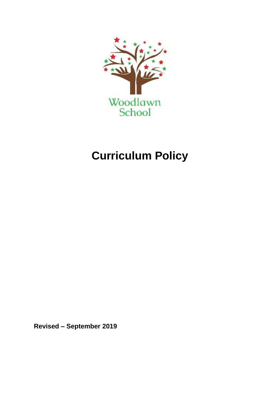

# **Curriculum Policy**

**Revised – September 2019**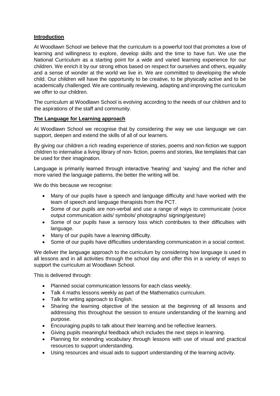## **Introduction**

At Woodlawn School we believe that the curriculum is a powerful tool that promotes a love of learning and willingness to explore, develop skills and the time to have fun. We use the National Curriculum as a starting point for a wide and varied learning experience for our children. We enrich it by our strong ethos based on respect for ourselves and others, equality and a sense of wonder at the world we live in. We are committed to developing the whole child. Our children will have the opportunity to be creative, to be physically active and to be academically challenged. We are continually reviewing, adapting and improving the curriculum we offer to our children.

The curriculum at Woodlawn School is evolving according to the needs of our children and to the aspirations of the staff and community.

# **The Language for Learning approach**

At Woodlawn School we recognise that by considering the way we use language we can support, deepen and extend the skills of all of our learners.

By giving our children a rich reading experience of stories, poems and non-fiction we support children to internalise a living library of non- fiction, poems and stories, like templates that can be used for their imagination.

Language is primarily learned through interactive 'hearing' and 'saying' and the richer and more varied the language patterns, the better the writing will be.

We do this because we recognise:

- Many of our pupils have a speech and language difficulty and have worked with the team of speech and language therapists from the PCT.
- Some of our pupils are non-verbal and use a range of ways to communicate (voice output communication aids/ symbols/ photographs/ signing/gesture)
- Some of our pupils have a sensory loss which contributes to their difficulties with language.
- Many of our pupils have a learning difficulty.
- Some of our pupils have difficulties understanding communication in a social context.

We deliver the language approach to the curriculum by considering how language is used in all lessons and in all activities through the school day and offer this in a variety of ways to support the curriculum at Woodlawn School.

This is delivered through:

- Planned social communication lessons for each class weekly.
- Talk 4 maths lessons weekly as part of the Mathematics curriculum.
- Talk for writing approach to English.
- Sharing the learning objective of the session at the beginning of all lessons and addressing this throughout the session to ensure understanding of the learning and purpose.
- Encouraging pupils to talk about their learning and be reflective learners.
- Giving pupils meaningful feedback which includes the next steps in learning.
- Planning for extending vocabulary through lessons with use of visual and practical resources to support understanding.
- Using resources and visual aids to support understanding of the learning activity.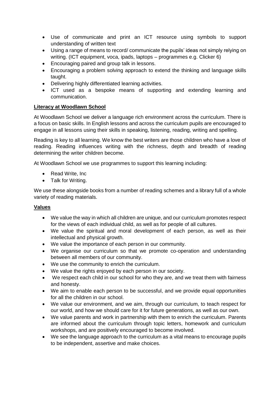- Use of communicate and print an ICT resource using symbols to support understanding of written text
- Using a range of means to record/ communicate the pupils' ideas not simply relying on writing. (ICT equipment, voca, ipads, laptops – programmes e.g. Clicker 6)
- Encouraging paired and group talk in lessons.
- Encouraging a problem solving approach to extend the thinking and language skills taught.
- Delivering highly differentiated learning activities.
- ICT used as a bespoke means of supporting and extending learning and communication.

# **Literacy at Woodlawn School**

At Woodlawn School we deliver a language rich environment across the curriculum. There is a focus on basic skills. In English lessons and across the curriculum pupils are encouraged to engage in all lessons using their skills in speaking, listening, reading, writing and spelling.

Reading is key to all learning. We know the best writers are those children who have a love of reading. Reading influences writing with the richness, depth and breadth of reading determining the writer children become.

At Woodlawn School we use programmes to support this learning including:

- Read Write, Inc.
- Talk for Writing.

We use these alongside books from a number of reading schemes and a library full of a whole variety of reading materials.

## **Values**

- We value the way in which all children are unique, and our curriculum promotes respect for the views of each individual child, as well as for people of all cultures.
- We value the spiritual and moral development of each person, as well as their intellectual and physical growth.
- We value the importance of each person in our community.
- We organise our curriculum so that we promote co-operation and understanding between all members of our community.
- We use the community to enrich the curriculum.
- We value the rights enjoyed by each person in our society.
- We respect each child in our school for who they are, and we treat them with fairness and honesty.
- We aim to enable each person to be successful, and we provide equal opportunities for all the children in our school.
- We value our environment, and we aim, through our curriculum, to teach respect for our world, and how we should care for it for future generations, as well as our own.
- We value parents and work in partnership with them to enrich the curriculum. Parents are informed about the curriculum through topic letters, homework and curriculum workshops, and are positively encouraged to become involved.
- We see the language approach to the curriculum as a vital means to encourage pupils to be independent, assertive and make choices.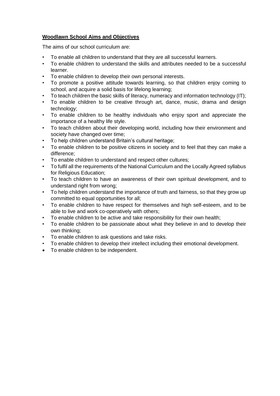# **Woodlawn School Aims and Objectives**

The aims of our school curriculum are:

- To enable all children to understand that they are all successful learners.
- To enable children to understand the skills and attributes needed to be a successful learner.
- To enable children to develop their own personal interests.
- To promote a positive attitude towards learning, so that children enjoy coming to school, and acquire a solid basis for lifelong learning;
- To teach children the basic skills of literacy, numeracy and information technology (IT);
- To enable children to be creative through art, dance, music, drama and design technology;
- To enable children to be healthy individuals who enjoy sport and appreciate the importance of a healthy life style.
- To teach children about their developing world, including how their environment and society have changed over time;
- To help children understand Britain's cultural heritage;
- To enable children to be positive citizens in society and to feel that they can make a difference;
- To enable children to understand and respect other cultures;
- To fulfil all the requirements of the National Curriculum and the Locally Agreed syllabus for Religious Education:
- To teach children to have an awareness of their own spiritual development, and to understand right from wrong;
- To help children understand the importance of truth and fairness, so that they grow up committed to equal opportunities for all;
- To enable children to have respect for themselves and high self-esteem, and to be able to live and work co-operatively with others;
- To enable children to be active and take responsibility for their own health;
- To enable children to be passionate about what they believe in and to develop their own thinking;
- To enable children to ask questions and take risks.
- To enable children to develop their intellect including their emotional development.
- To enable children to be independent.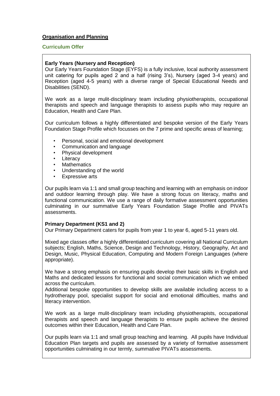## **Organisation and Planning**

#### **Curriculum Offer**

## **Early Years (Nursery and Reception)**

Our Early Years Foundation Stage (EYFS) is a fully inclusive, local authority assessment unit catering for pupils aged 2 and a half (rising 3's), Nursery (aged 3-4 years) and Reception (aged 4-5 years) with a diverse range of Special Educational Needs and Disabilities (SEND).

We work as a large mulit-disciplinary team including physiotherapists, occupational therapists and speech and language therapists to assess pupils who may require an Education, Health and Care Plan.

Our curriculum follows a highly differentiated and bespoke version of the Early Years Foundation Stage Profile which focusses on the 7 prime and specific areas of learning;

- Personal, social and emotional development
- Communication and language
- Physical development
- Literacy
- **Mathematics**
- Understanding of the world
- **Expressive arts**

Our pupils learn via 1:1 and small group teaching and learning with an emphasis on indoor and outdoor learning through play. We have a strong focus on literacy, maths and functional communication. We use a range of daily formative assessment opportunities culminating in our summative Early Years Foundation Stage Profile and PIVATs assessments.

## **Primary Department (KS1 and 2)**

Our Primary Department caters for pupils from year 1 to year 6, aged 5-11 years old.

Mixed age classes offer a highly differentiated curriculum covering all National Curriculum subjects; English, Maths, Science, Design and Technology, History, Geography, Art and Design, Music, Physical Education, Computing and Modern Foreign Languages (where appropriate).

We have a strong emphasis on ensuring pupils develop their basic skills in English and Maths and dedicated lessons for functional and social communication which we embed across the curriculum.

Additional bespoke opportunities to develop skills are available including access to a hydrotherapy pool, specialist support for social and emotional difficulties, maths and literacy intervention.

We work as a large mulit-disciplinary team including physiotherapists, occupational therapists and speech and language therapists to ensure pupils achieve the desired outcomes within their Education, Health and Care Plan.

Our pupils learn via 1:1 and small group teaching and learning. All pupils have Individual Education Plan targets and pupils are assessed by a variety of formative assessment opportunities culminating in our termly, summative PIVATs assessments.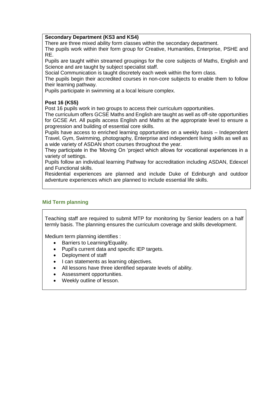#### **Secondary Department (KS3 and KS4)**

There are three mixed ability form classes within the secondary department.

The pupils work within their form group for Creative, Humanities, Enterprise, PSHE and RE.

Pupils are taught within streamed groupings for the core subjects of Maths, English and Science and are taught by subject specialist staff.

Social Communication is taught discretely each week within the form class.

The pupils begin their accredited courses in non-core subjects to enable them to follow their learning pathway.

Pupils participate in swimming at a local leisure complex.

# **Post 16 (KS5)**

Post 16 pupils work in two groups to access their curriculum opportunities.

The curriculum offers GCSE Maths and English are taught as well as off-site opportunities for GCSE Art. All pupils access English and Maths at the appropriate level to ensure a progression and building of essential core skills.

Pupils have access to enriched learning opportunities on a weekly basis – Independent Travel, Gym, Swimming, photography, Enterprise and independent living skills as well as a wide variety of ASDAN short courses throughout the year.

They participate in the 'Moving On 'project which allows for vocational experiences in a variety of settings.

Pupils follow an individual learning Pathway for accreditation including ASDAN, Edexcel and Functional skills.

Residential experiences are planned and include Duke of Edinburgh and outdoor adventure experiences which are planned to include essential life skills.

## **Mid Term planning**

Teaching staff are required to submit MTP for monitoring by Senior leaders on a half termly basis. The planning ensures the curriculum coverage and skills development.

Medium term planning identifies :

- Barriers to Learning/Equality.
- Pupil's current data and specific IEP targets.
- Deployment of staff
- I can statements as learning objectives.
- All lessons have three identified separate levels of ability.
- Assessment opportunities.
- Weekly outline of lesson.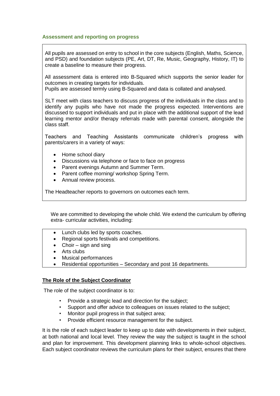#### **Assessment and reporting on progress**

All pupils are assessed on entry to school in the core subjects (English, Maths, Science, and PSD) and foundation subjects (PE, Art, DT, Re, Music, Geography, History, IT) to create a baseline to measure their progress.

All assessment data is entered into B-Squared which supports the senior leader for outcomes in creating targets for individuals.

Pupils are assessed termly using B-Squared and data is collated and analysed.

SLT meet with class teachers to discuss progress of the individuals in the class and to identify any pupils who have not made the progress expected. Interventions are discussed to support individuals and put in place with the additional support of the lead learning mentor and/or therapy referrals made with parental consent, alongside the class staff.

Teachers and Teaching Assistants communicate children's progress with parents/carers in a variety of ways:

- Home school diary
- Discussions via telephone or face to face on progress
- Parent evenings Autumn and Summer Term.
- Parent coffee morning/ workshop Spring Term.
- Annual review process.

The Headteacher reports to governors on outcomes each term.

We are committed to developing the whole child. We extend the curriculum by offering extra- curricular activities, including:

- Lunch clubs led by sports coaches.
- Regional sports festivals and competitions.
- $\bullet$  Choir sign and sing
- Arts clubs
- Musical performances
- Residential opportunities Secondary and post 16 departments.

## **The Role of the Subject Coordinator**

The role of the subject coordinator is to:

- Provide a strategic lead and direction for the subject;
- Support and offer advice to colleagues on issues related to the subject;
- Monitor pupil progress in that subject area;
- Provide efficient resource management for the subject.

It is the role of each subject leader to keep up to date with developments in their subject, at both national and local level. They review the way the subject is taught in the school and plan for improvement. This development planning links to whole-school objectives. Each subject coordinator reviews the curriculum plans for their subject, ensures that there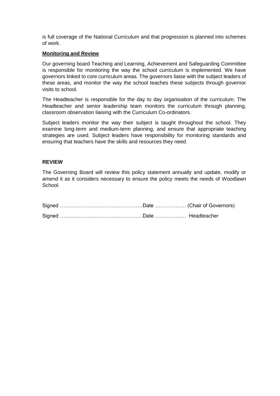is full coverage of the National Curriculum and that progression is planned into schemes of work.

#### **Monitoring and Review**

Our governing board Teaching and Learning, Achievement and Safeguarding Committee is responsible for monitoring the way the school curriculum is implemented. We have governors linked to core curriculum areas. The governors liaise with the subject leaders of these areas, and monitor the way the school teaches these subjects through governor visits to school.

The Headteacher is responsible for the day to day organisation of the curriculum. The Headteacher and senior leadership team monitors the curriculum through planning, classroom observation liaising with the Curriculum Co-ordinators.

Subject leaders monitor the way their subject is taught throughout the school. They examine long-term and medium-term planning, and ensure that appropriate teaching strategies are used. Subject leaders have responsibility for monitoring standards and ensuring that teachers have the skills and resources they need.

#### **REVIEW**

The Governing Board will review this policy statement annually and update, modify or amend it as it considers necessary to ensure the policy meets the needs of Woodlawn **School.**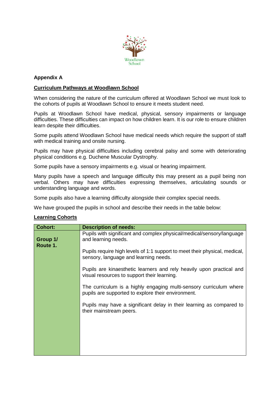

# **Appendix A**

# **Curriculum Pathways at Woodlawn School**

When considering the nature of the curriculum offered at Woodlawn School we must look to the cohorts of pupils at Woodlawn School to ensure it meets student need.

Pupils at Woodlawn School have medical, physical, sensory impairments or language difficulties. These difficulties can impact on how children learn. It is our role to ensure children learn despite their difficulties.

Some pupils attend Woodlawn School have medical needs which require the support of staff with medical training and onsite nursing.

Pupils may have physical difficulties including cerebral palsy and some with deteriorating physical conditions e.g. Duchene Muscular Dystrophy.

Some pupils have a sensory impairments e.g. visual or hearing impairment.

Many pupils have a speech and language difficulty this may present as a pupil being non verbal. Others may have difficulties expressing themselves, articulating sounds or understanding language and words.

Some pupils also have a learning difficulty alongside their complex special needs.

We have grouped the pupils in school and describe their needs in the table below:

#### **Learning Cohorts**

| <b>Cohort:</b>       | <b>Description of needs:</b>                                                                                             |
|----------------------|--------------------------------------------------------------------------------------------------------------------------|
| Group 1/<br>Route 1. | Pupils with significant and complex physical/medical/sensory/language<br>and learning needs.                             |
|                      | Pupils require high levels of 1:1 support to meet their physical, medical,<br>sensory, language and learning needs.      |
|                      | Pupils are kinaesthetic learners and rely heavily upon practical and<br>visual resources to support their learning.      |
|                      | The curriculum is a highly engaging multi-sensory curriculum where<br>pupils are supported to explore their environment. |
|                      | Pupils may have a significant delay in their learning as compared to<br>their mainstream peers.                          |
|                      |                                                                                                                          |
|                      |                                                                                                                          |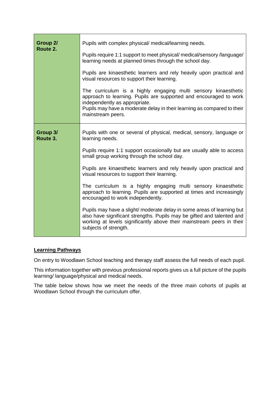| Group 2/<br>Route 2. | Pupils with complex physical/ medical/learning needs.<br>Pupils require 1:1 support to meet physical/ medical/sensory /language/<br>learning needs at planned times through the school day.<br>Pupils are kinaesthetic learners and rely heavily upon practical and<br>visual resources to support their learning.<br>The curriculum is a highly engaging multi sensory kinaesthetic<br>approach to learning. Pupils are supported and encouraged to work<br>independently as appropriate.<br>Pupils may have a moderate delay in their learning as compared to their<br>mainstream peers. |
|----------------------|--------------------------------------------------------------------------------------------------------------------------------------------------------------------------------------------------------------------------------------------------------------------------------------------------------------------------------------------------------------------------------------------------------------------------------------------------------------------------------------------------------------------------------------------------------------------------------------------|
| Group 3/<br>Route 3. | Pupils with one or several of physical, medical, sensory, language or<br>learning needs.<br>Pupils require 1:1 support occasionally but are usually able to access                                                                                                                                                                                                                                                                                                                                                                                                                         |
|                      | small group working through the school day.                                                                                                                                                                                                                                                                                                                                                                                                                                                                                                                                                |
|                      | Pupils are kinaesthetic learners and rely heavily upon practical and<br>visual resources to support their learning.                                                                                                                                                                                                                                                                                                                                                                                                                                                                        |
|                      | The curriculum is a highly engaging multi sensory kinaesthetic<br>approach to learning. Pupils are supported at times and increasingly<br>encouraged to work independently.                                                                                                                                                                                                                                                                                                                                                                                                                |
|                      | Pupils may have a slight/ moderate delay in some areas of learning but<br>also have significant strengths. Pupils may be gifted and talented and<br>working at levels significantly above their mainstream peers in their<br>subjects of strength.                                                                                                                                                                                                                                                                                                                                         |

## **Learning Pathways**

On entry to Woodlawn School teaching and therapy staff assess the full needs of each pupil.

This information together with previous professional reports gives us a full picture of the pupils learning/ language/physical and medical needs.

The table below shows how we meet the needs of the three main cohorts of pupils at Woodlawn School through the curriculum offer.